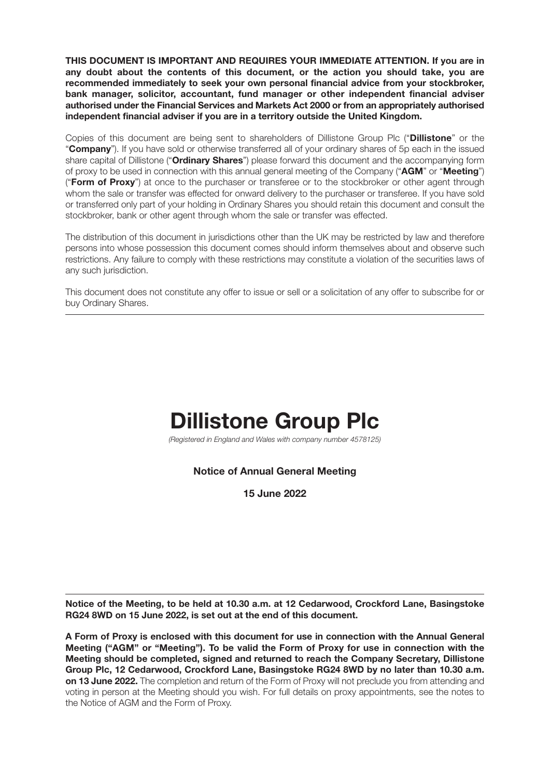**THIS DOCUMENT IS IMPORTANT AND REQUIRES YOUR IMMEDIATE ATTENTION. If you are in any doubt about the contents of this document, or the action you should take, you are recommended immediately to seek your own personal financial advice from your stockbroker, bank manager, solicitor, accountant, fund manager or other independent financial adviser authorised under the Financial Services and Markets Act 2000 or from an appropriately authorised independent financial adviser if you are in a territory outside the United Kingdom.**

Copies of this document are being sent to shareholders of Dillistone Group Plc ("**Dillistone**" or the "**Company**"). If you have sold or otherwise transferred all of your ordinary shares of 5p each in the issued share capital of Dillistone ("**Ordinary Shares**") please forward this document and the accompanying form of proxy to be used in connection with this annual general meeting of the Company ("**AGM**" or "**Meeting**") ("**Form of Proxy**") at once to the purchaser or transferee or to the stockbroker or other agent through whom the sale or transfer was effected for onward delivery to the purchaser or transferee. If you have sold or transferred only part of your holding in Ordinary Shares you should retain this document and consult the stockbroker, bank or other agent through whom the sale or transfer was effected.

The distribution of this document in jurisdictions other than the UK may be restricted by law and therefore persons into whose possession this document comes should inform themselves about and observe such restrictions. Any failure to comply with these restrictions may constitute a violation of the securities laws of any such jurisdiction.

This document does not constitute any offer to issue or sell or a solicitation of any offer to subscribe for or buy Ordinary Shares.

# **Dillistone Group Plc**

(Registered in England and Wales with company number 4578125)

## **Notice of Annual General Meeting**

**15 June 2022**

**Notice of the Meeting, to be held at 10.30 a.m. at 12 Cedarwood, Crockford Lane, Basingstoke RG24 8WD on 15 June 2022, is set out at the end of this document.**

**A Form of Proxy is enclosed with this document for use in connection with the Annual General Meeting ("AGM" or "Meeting"). To be valid the Form of Proxy for use in connection with the Meeting should be completed, signed and returned to reach the Company Secretary, Dillistone Group Plc, 12 Cedarwood, Crockford Lane, Basingstoke RG24 8WD by no later than 10.30 a.m. on 13 June 2022.** The completion and return of the Form of Proxy will not preclude you from attending and voting in person at the Meeting should you wish. For full details on proxy appointments, see the notes to the Notice of AGM and the Form of Proxy.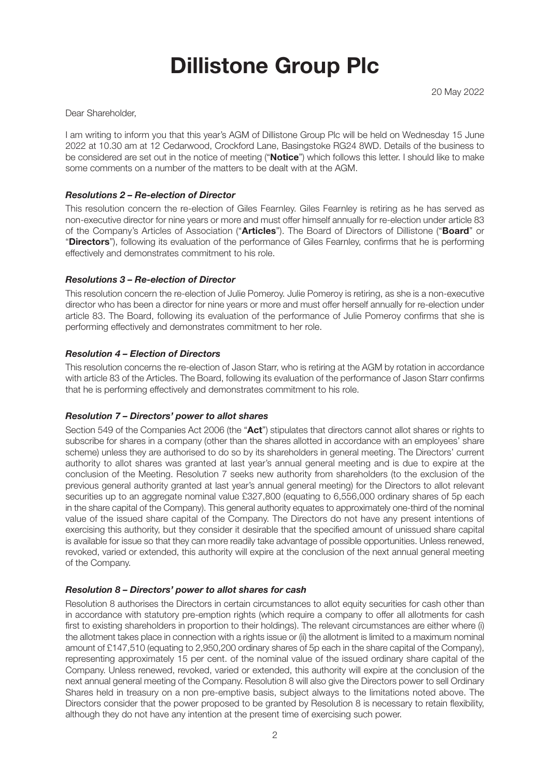# **Dillistone Group Plc**

Dear Shareholder,

I am writing to inform you that this year's AGM of Dillistone Group Plc will be held on Wednesday 15 June 2022 at 10.30 am at 12 Cedarwood, Crockford Lane, Basingstoke RG24 8WD. Details of the business to be considered are set out in the notice of meeting ("**Notice**") which follows this letter. I should like to make some comments on a number of the matters to be dealt with at the AGM.

### *Resolutions 2 – Re-election of Director*

This resolution concern the re-election of Giles Fearnley. Giles Fearnley is retiring as he has served as non-executive director for nine years or more and must offer himself annually for re-election under article 83 of the Company's Articles of Association ("**Articles**"). The Board of Directors of Dillistone ("**Board**" or "**Directors**"), following its evaluation of the performance of Giles Fearnley, confirms that he is performing effectively and demonstrates commitment to his role.

### *Resolutions 3 – Re-election of Director*

This resolution concern the re-election of Julie Pomeroy. Julie Pomeroy is retiring, as she is a non-executive director who has been a director for nine years or more and must offer herself annually for re-election under article 83. The Board, following its evaluation of the performance of Julie Pomeroy confirms that she is performing effectively and demonstrates commitment to her role.

### *Resolution 4 – Election of Directors*

This resolution concerns the re-election of Jason Starr, who is retiring at the AGM by rotation in accordance with article 83 of the Articles. The Board, following its evaluation of the performance of Jason Starr confirms that he is performing effectively and demonstrates commitment to his role.

### *Resolution 7 – Directors' power to allot shares*

Section 549 of the Companies Act 2006 (the "**Act**") stipulates that directors cannot allot shares or rights to subscribe for shares in a company (other than the shares allotted in accordance with an employees' share scheme) unless they are authorised to do so by its shareholders in general meeting. The Directors' current authority to allot shares was granted at last year's annual general meeting and is due to expire at the conclusion of the Meeting. Resolution 7 seeks new authority from shareholders (to the exclusion of the previous general authority granted at last year's annual general meeting) for the Directors to allot relevant securities up to an aggregate nominal value £327,800 (equating to 6,556,000 ordinary shares of 5p each in the share capital of the Company). This general authority equates to approximately one-third of the nominal value of the issued share capital of the Company. The Directors do not have any present intentions of exercising this authority, but they consider it desirable that the specified amount of unissued share capital is available for issue so that they can more readily take advantage of possible opportunities. Unless renewed, revoked, varied or extended, this authority will expire at the conclusion of the next annual general meeting of the Company.

### *Resolution 8 – Directors' power to allot shares for cash*

Resolution 8 authorises the Directors in certain circumstances to allot equity securities for cash other than in accordance with statutory pre-emption rights (which require a company to offer all allotments for cash first to existing shareholders in proportion to their holdings). The relevant circumstances are either where (i) the allotment takes place in connection with a rights issue or (ii) the allotment is limited to a maximum nominal amount of £147,510 (equating to 2,950,200 ordinary shares of 5p each in the share capital of the Company), representing approximately 15 per cent. of the nominal value of the issued ordinary share capital of the Company. Unless renewed, revoked, varied or extended, this authority will expire at the conclusion of the next annual general meeting of the Company. Resolution 8 will also give the Directors power to sell Ordinary Shares held in treasury on a non pre-emptive basis, subject always to the limitations noted above. The Directors consider that the power proposed to be granted by Resolution 8 is necessary to retain flexibility, although they do not have any intention at the present time of exercising such power.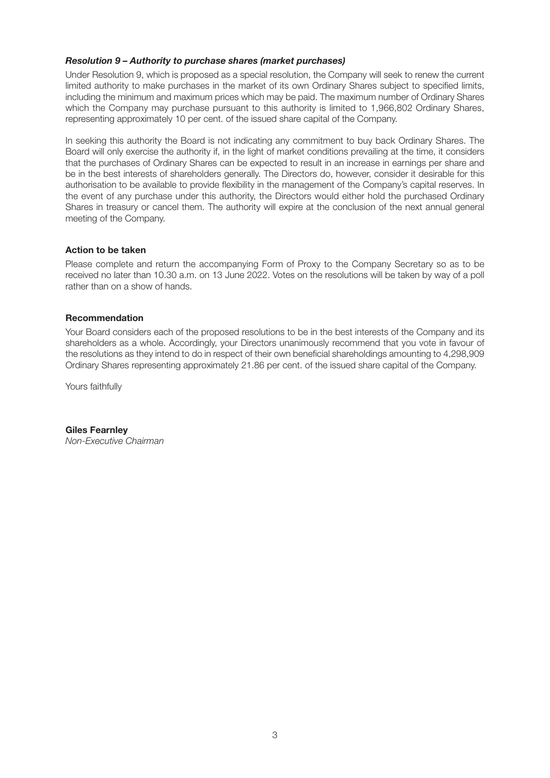#### *Resolution 9 – Authority to purchase shares (market purchases)*

Under Resolution 9, which is proposed as a special resolution, the Company will seek to renew the current limited authority to make purchases in the market of its own Ordinary Shares subject to specified limits, including the minimum and maximum prices which may be paid. The maximum number of Ordinary Shares which the Company may purchase pursuant to this authority is limited to 1,966,802 Ordinary Shares, representing approximately 10 per cent. of the issued share capital of the Company.

In seeking this authority the Board is not indicating any commitment to buy back Ordinary Shares. The Board will only exercise the authority if, in the light of market conditions prevailing at the time, it considers that the purchases of Ordinary Shares can be expected to result in an increase in earnings per share and be in the best interests of shareholders generally. The Directors do, however, consider it desirable for this authorisation to be available to provide flexibility in the management of the Company's capital reserves. In the event of any purchase under this authority, the Directors would either hold the purchased Ordinary Shares in treasury or cancel them. The authority will expire at the conclusion of the next annual general meeting of the Company.

#### **Action to be taken**

Please complete and return the accompanying Form of Proxy to the Company Secretary so as to be received no later than 10.30 a.m. on 13 June 2022. Votes on the resolutions will be taken by way of a poll rather than on a show of hands.

#### **Recommendation**

Your Board considers each of the proposed resolutions to be in the best interests of the Company and its shareholders as a whole. Accordingly, your Directors unanimously recommend that you vote in favour of the resolutions as they intend to do in respect of their own beneficial shareholdings amounting to 4,298,909 Ordinary Shares representing approximately 21.86 per cent. of the issued share capital of the Company.

Yours faithfully

**Giles Fearnley** Non-Executive Chairman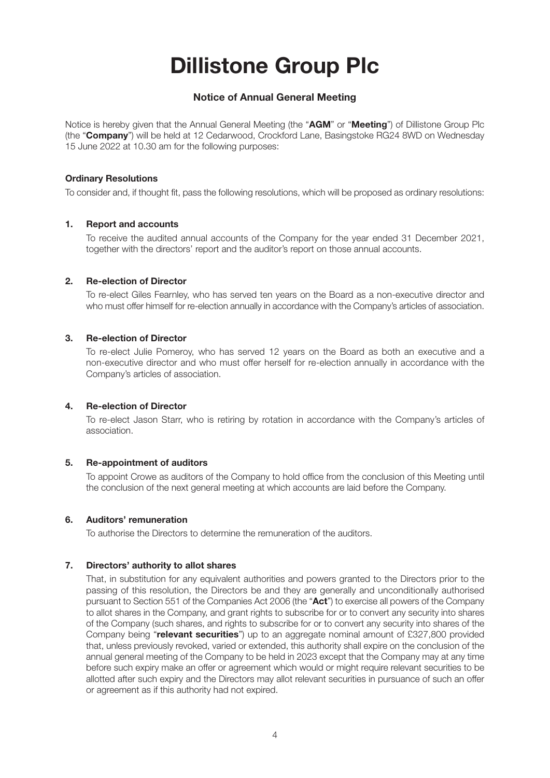# **Dillistone Group Plc**

## **Notice of Annual General Meeting**

Notice is hereby given that the Annual General Meeting (the "**AGM**" or "**Meeting**") of Dillistone Group Plc (the "**Company**") will be held at 12 Cedarwood, Crockford Lane, Basingstoke RG24 8WD on Wednesday 15 June 2022 at 10.30 am for the following purposes:

#### **Ordinary Resolutions**

To consider and, if thought fit, pass the following resolutions, which will be proposed as ordinary resolutions:

### **1. Report and accounts**

 To receive the audited annual accounts of the Company for the year ended 31 December 2021, together with the directors' report and the auditor's report on those annual accounts.

#### **2. Re-election of Director**

 To re-elect Giles Fearnley, who has served ten years on the Board as a non-executive director and who must offer himself for re-election annually in accordance with the Company's articles of association.

#### **3. Re-election of Director**

 To re-elect Julie Pomeroy, who has served 12 years on the Board as both an executive and a non-executive director and who must offer herself for re-election annually in accordance with the Company's articles of association.

#### **4. Re-election of Director**

 To re-elect Jason Starr, who is retiring by rotation in accordance with the Company's articles of association.

### **5. Re-appointment of auditors**

 To appoint Crowe as auditors of the Company to hold office from the conclusion of this Meeting until the conclusion of the next general meeting at which accounts are laid before the Company.

### **6. Auditors' remuneration**

To authorise the Directors to determine the remuneration of the auditors.

### **7. Directors' authority to allot shares**

 That, in substitution for any equivalent authorities and powers granted to the Directors prior to the passing of this resolution, the Directors be and they are generally and unconditionally authorised pursuant to Section 551 of the Companies Act 2006 (the "**Act**") to exercise all powers of the Company to allot shares in the Company, and grant rights to subscribe for or to convert any security into shares of the Company (such shares, and rights to subscribe for or to convert any security into shares of the Company being "**relevant securities**") up to an aggregate nominal amount of £327,800 provided that, unless previously revoked, varied or extended, this authority shall expire on the conclusion of the annual general meeting of the Company to be held in 2023 except that the Company may at any time before such expiry make an offer or agreement which would or might require relevant securities to be allotted after such expiry and the Directors may allot relevant securities in pursuance of such an offer or agreement as if this authority had not expired.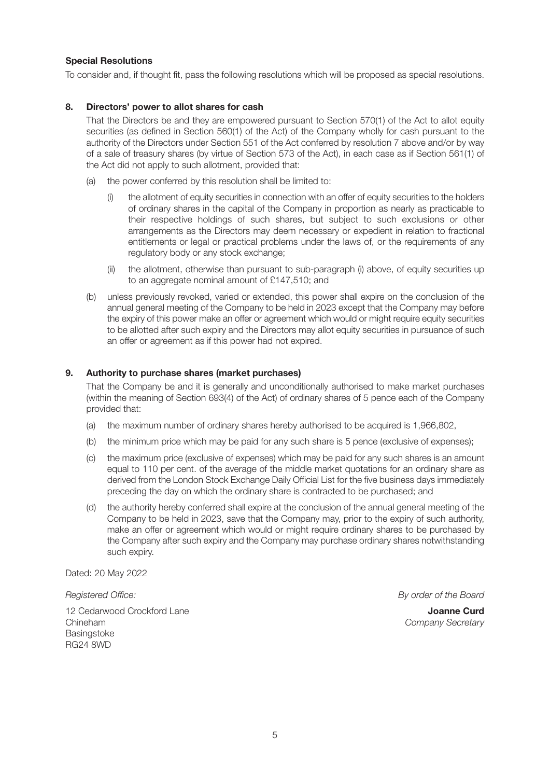### **Special Resolutions**

To consider and, if thought fit, pass the following resolutions which will be proposed as special resolutions.

#### **8. Directors' power to allot shares for cash**

 That the Directors be and they are empowered pursuant to Section 570(1) of the Act to allot equity securities (as defined in Section 560(1) of the Act) of the Company wholly for cash pursuant to the authority of the Directors under Section 551 of the Act conferred by resolution 7 above and/or by way of a sale of treasury shares (by virtue of Section 573 of the Act), in each case as if Section 561(1) of the Act did not apply to such allotment, provided that:

- (a) the power conferred by this resolution shall be limited to:
	- (i) the allotment of equity securities in connection with an offer of equity securities to the holders of ordinary shares in the capital of the Company in proportion as nearly as practicable to their respective holdings of such shares, but subject to such exclusions or other arrangements as the Directors may deem necessary or expedient in relation to fractional entitlements or legal or practical problems under the laws of, or the requirements of any regulatory body or any stock exchange;
	- (ii) the allotment, otherwise than pursuant to sub-paragraph (i) above, of equity securities up to an aggregate nominal amount of £147,510; and
- (b) unless previously revoked, varied or extended, this power shall expire on the conclusion of the annual general meeting of the Company to be held in 2023 except that the Company may before the expiry of this power make an offer or agreement which would or might require equity securities to be allotted after such expiry and the Directors may allot equity securities in pursuance of such an offer or agreement as if this power had not expired.

#### **9. Authority to purchase shares (market purchases)**

 That the Company be and it is generally and unconditionally authorised to make market purchases (within the meaning of Section 693(4) of the Act) of ordinary shares of 5 pence each of the Company provided that:

- (a) the maximum number of ordinary shares hereby authorised to be acquired is 1,966,802,
- (b) the minimum price which may be paid for any such share is 5 pence (exclusive of expenses);
- (c) the maximum price (exclusive of expenses) which may be paid for any such shares is an amount equal to 110 per cent. of the average of the middle market quotations for an ordinary share as derived from the London Stock Exchange Daily Official List for the five business days immediately preceding the day on which the ordinary share is contracted to be purchased; and
- (d) the authority hereby conferred shall expire at the conclusion of the annual general meeting of the Company to be held in 2023, save that the Company may, prior to the expiry of such authority, make an offer or agreement which would or might require ordinary shares to be purchased by the Company after such expiry and the Company may purchase ordinary shares notwithstanding such expiry.

Dated: 20 May 2022

12 Cedarwood Crockford Lane **Joanne Curd** Chineham Company Secretary **Basingstoke** RG24 8WD

Registered Office: **By order of the Board**